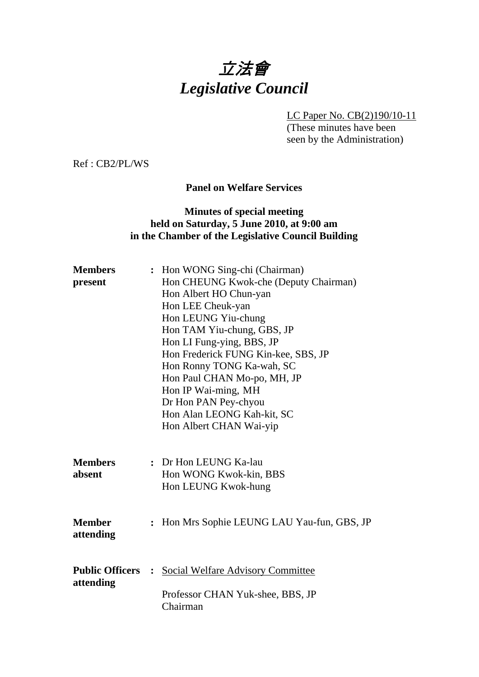# 立法會 *Legislative Council*

LC Paper No. CB(2)190/10-11

(These minutes have been seen by the Administration)

Ref : CB2/PL/WS

## **Panel on Welfare Services**

## **Minutes of special meeting held on Saturday, 5 June 2010, at 9:00 am in the Chamber of the Legislative Council Building**

| <b>Members</b>         |                | : Hon WONG Sing-chi (Chairman)            |
|------------------------|----------------|-------------------------------------------|
| present                |                | Hon CHEUNG Kwok-che (Deputy Chairman)     |
|                        |                | Hon Albert HO Chun-yan                    |
|                        |                | Hon LEE Cheuk-yan                         |
|                        |                | Hon LEUNG Yiu-chung                       |
|                        |                | Hon TAM Yiu-chung, GBS, JP                |
|                        |                | Hon LI Fung-ying, BBS, JP                 |
|                        |                | Hon Frederick FUNG Kin-kee, SBS, JP       |
|                        |                | Hon Ronny TONG Ka-wah, SC                 |
|                        |                | Hon Paul CHAN Mo-po, MH, JP               |
|                        |                | Hon IP Wai-ming, MH                       |
|                        |                | Dr Hon PAN Pey-chyou                      |
|                        |                | Hon Alan LEONG Kah-kit, SC                |
|                        |                | Hon Albert CHAN Wai-yip                   |
|                        |                |                                           |
|                        |                |                                           |
| <b>Members</b>         |                | : Dr Hon LEUNG Ka-lau                     |
| absent                 |                | Hon WONG Kwok-kin, BBS                    |
|                        |                | Hon LEUNG Kwok-hung                       |
|                        |                |                                           |
|                        |                |                                           |
| <b>Member</b>          | $\ddot{\cdot}$ | Hon Mrs Sophie LEUNG LAU Yau-fun, GBS, JP |
| attending              |                |                                           |
|                        |                |                                           |
|                        |                |                                           |
| <b>Public Officers</b> | $\ddot{\cdot}$ | <b>Social Welfare Advisory Committee</b>  |
| attending              |                |                                           |
|                        |                | Professor CHAN Yuk-shee, BBS, JP          |
|                        |                | Chairman                                  |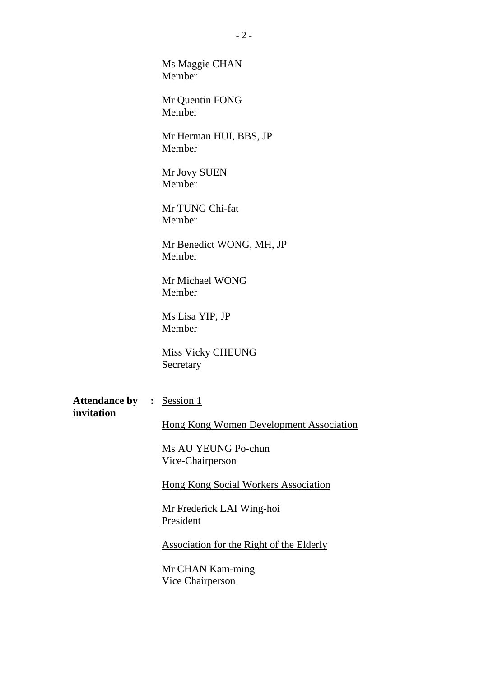Ms Maggie CHAN Member

Mr Quentin FONG Member

Mr Herman HUI, BBS, JP Member

Mr Jovy SUEN Member

Mr TUNG Chi-fat Member

Mr Benedict WONG, MH, JP Member

Mr Michael WONG Member

Ms Lisa YIP, JP Member

Miss Vicky CHEUNG Secretary

Attendance by : Session 1 **invitation** 

**Hong Kong Women Development Association** 

Ms AU YEUNG Po-chun Vice-Chairperson

**Hong Kong Social Workers Association** 

Mr Frederick LAI Wing-hoi President

Association for the Right of the Elderly

Mr CHAN Kam-ming Vice Chairperson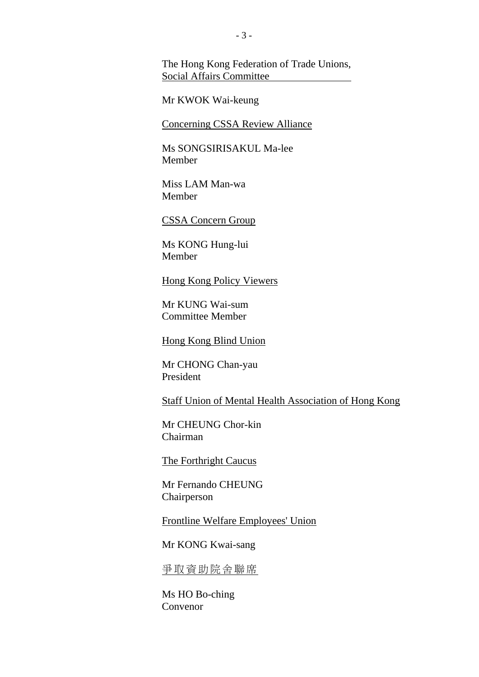The Hong Kong Federation of Trade Unions, Social Affairs Committee

Mr KWOK Wai-keung

**Concerning CSSA Review Alliance** 

Ms SONGSIRISAKUL Ma-lee Member

Miss LAM Man-wa Member

CSSA Concern Group

Ms KONG Hung-lui Member

Hong Kong Policy Viewers

Mr KUNG Wai-sum Committee Member

Hong Kong Blind Union

Mr CHONG Chan-yau President

Staff Union of Mental Health Association of Hong Kong

Mr CHEUNG Chor-kin Chairman

The Forthright Caucus

Mr Fernando CHEUNG Chairperson

**Frontline Welfare Employees' Union** 

Mr KONG Kwai-sang

爭取資助院舍聯席

Ms HO Bo-ching Convenor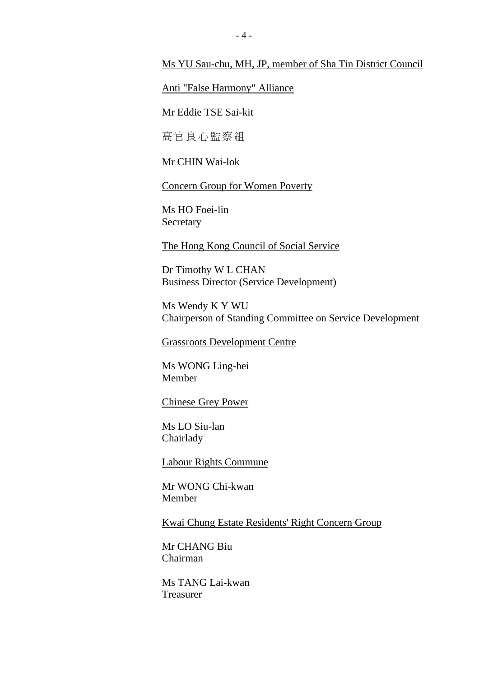#### Ms YU Sau-chu, MH, JP, member of Sha Tin District Council

#### Anti "False Harmony" Alliance

Mr Eddie TSE Sai-kit

高官良心監察組

Mr CHIN Wai-lok

Concern Group for Women Poverty

Ms HO Foei-lin Secretary

The Hong Kong Council of Social Service

Dr Timothy W L CHAN Business Director (Service Development)

Ms Wendy K Y WU Chairperson of Standing Committee on Service Development

Grassroots Development Centre

Ms WONG Ling-hei Member

Chinese Grey Power

Ms LO Siu-lan Chairlady

Labour Rights Commune

Mr WONG Chi-kwan Member

Kwai Chung Estate Residents' Right Concern Group

Mr CHANG Biu Chairman

Ms TANG Lai-kwan Treasurer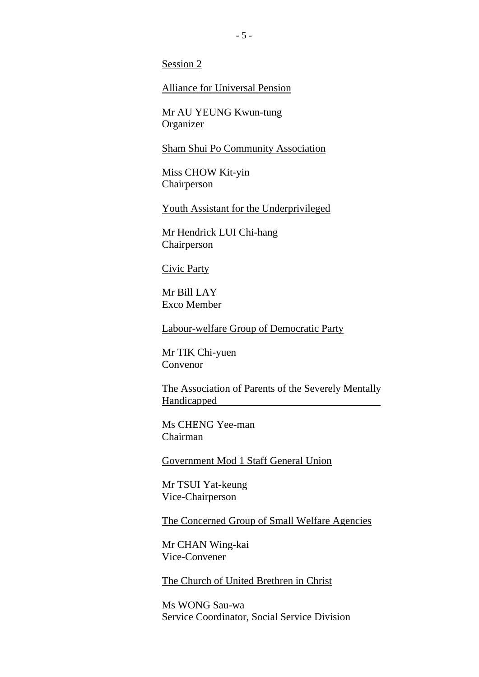Session 2

Alliance for Universal Pension

Mr AU YEUNG Kwun-tung **Organizer** 

Sham Shui Po Community Association

Miss CHOW Kit-yin Chairperson

Youth Assistant for the Underprivileged

Mr Hendrick LUI Chi-hang Chairperson

Civic Party

Mr Bill LAY Exco Member

**Labour-welfare Group of Democratic Party** 

Mr TIK Chi-yuen Convenor

The Association of Parents of the Severely Mentally Handicapped

Ms CHENG Yee-man Chairman

Government Mod 1 Staff General Union

Mr TSUI Yat-keung Vice-Chairperson

The Concerned Group of Small Welfare Agencies

Mr CHAN Wing-kai Vice-Convener

The Church of United Brethren in Christ

Ms WONG Sau-wa Service Coordinator, Social Service Division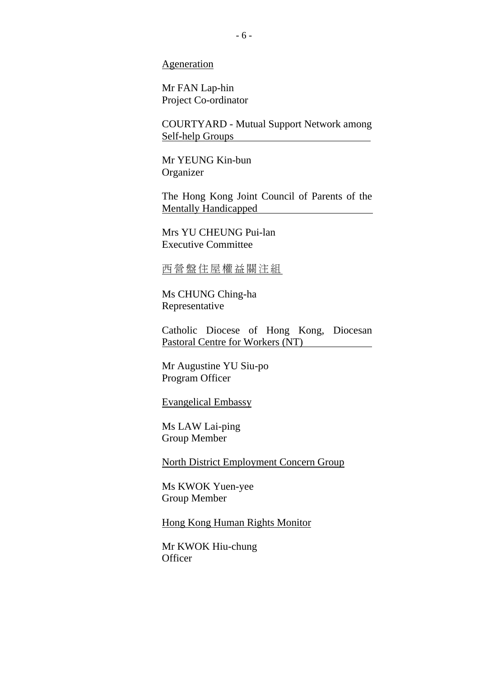Ageneration

Mr FAN Lap-hin Project Co-ordinator

COURTYARD - Mutual Support Network among Self**-**help Groups

Mr YEUNG Kin-bun Organizer

The Hong Kong Joint Council of Parents of the Mentally Handicapped

Mrs YU CHEUNG Pui-lan Executive Committee

#### 西營盤住屋權益關注組

Ms CHUNG Ching-ha Representative

Catholic Diocese of Hong Kong, Diocesan Pastoral Centre for Workers (NT)

Mr Augustine YU Siu-po Program Officer

Evangelical Embassy

Ms LAW Lai-ping Group Member

North District Employment Concern Group

Ms KWOK Yuen-yee Group Member

Hong Kong Human Rights Monitor

Mr KWOK Hiu-chung **Officer**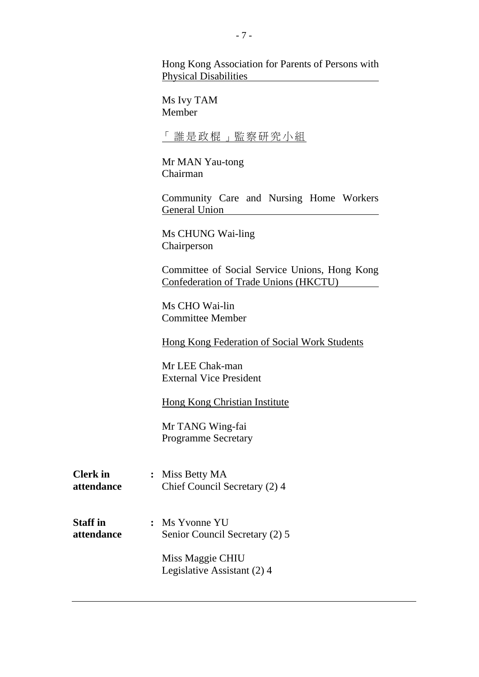Hong Kong Association for Parents of Persons with Physical Disabilities

Ms Ivy TAM Member

#### 「誰是政棍」監察研究小組

Mr MAN Yau-tong Chairman

Community Care and Nursing Home Workers General Union

Ms CHUNG Wai-ling Chairperson

Committee of Social Service Unions, Hong Kong Confederation of Trade Unions (HKCTU)

Ms CHO Wai-lin Committee Member

Hong Kong Federation of Social Work Students

Mr LEE Chak-man External Vice President

Hong Kong Christian Institute

Mr TANG Wing-fai Programme Secretary

**Clerk in : Miss Betty MA attendance** Chief Council Secretary (2) 4

**Staff in :** Ms Yvonne YU **attendance** Senior Council Secretary (2) 5

> Miss Maggie CHIU Legislative Assistant (2) 4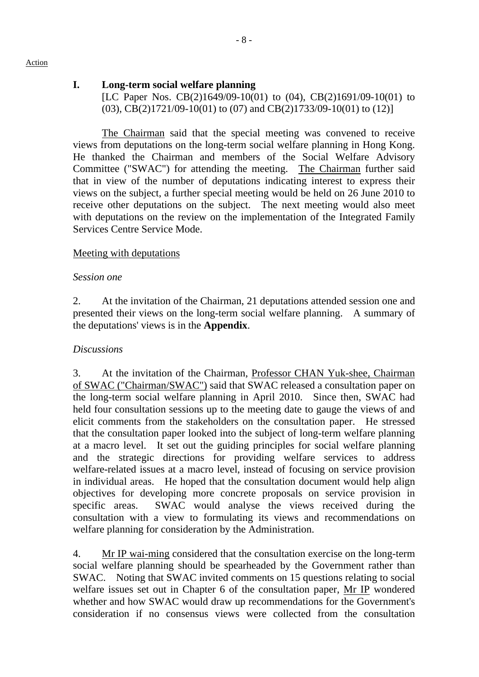#### Action

## **I. Long-term social welfare planning**

[LC Paper Nos. CB(2)1649/09-10(01) to (04), CB(2)1691/09-10(01) to (03), CB(2)1721/09-10(01) to (07) and CB(2)1733/09-10(01) to (12)]

The Chairman said that the special meeting was convened to receive views from deputations on the long-term social welfare planning in Hong Kong. He thanked the Chairman and members of the Social Welfare Advisory Committee ("SWAC") for attending the meeting. The Chairman further said that in view of the number of deputations indicating interest to express their views on the subject, a further special meeting would be held on 26 June 2010 to receive other deputations on the subject. The next meeting would also meet with deputations on the review on the implementation of the Integrated Family Services Centre Service Mode.

#### Meeting with deputations

#### *Session one*

2. At the invitation of the Chairman, 21 deputations attended session one and presented their views on the long-term social welfare planning. A summary of the deputations' views is in the **Appendix**.

#### *Discussions*

3. At the invitation of the Chairman, Professor CHAN Yuk-shee, Chairman of SWAC ("Chairman/SWAC") said that SWAC released a consultation paper on the long-term social welfare planning in April 2010. Since then, SWAC had held four consultation sessions up to the meeting date to gauge the views of and elicit comments from the stakeholders on the consultation paper. He stressed that the consultation paper looked into the subject of long-term welfare planning at a macro level. It set out the guiding principles for social welfare planning and the strategic directions for providing welfare services to address welfare-related issues at a macro level, instead of focusing on service provision in individual areas. He hoped that the consultation document would help align objectives for developing more concrete proposals on service provision in specific areas. SWAC would analyse the views received during the consultation with a view to formulating its views and recommendations on welfare planning for consideration by the Administration.

4. Mr IP wai-ming considered that the consultation exercise on the long-term social welfare planning should be spearheaded by the Government rather than SWAC. Noting that SWAC invited comments on 15 questions relating to social welfare issues set out in Chapter 6 of the consultation paper, Mr IP wondered whether and how SWAC would draw up recommendations for the Government's consideration if no consensus views were collected from the consultation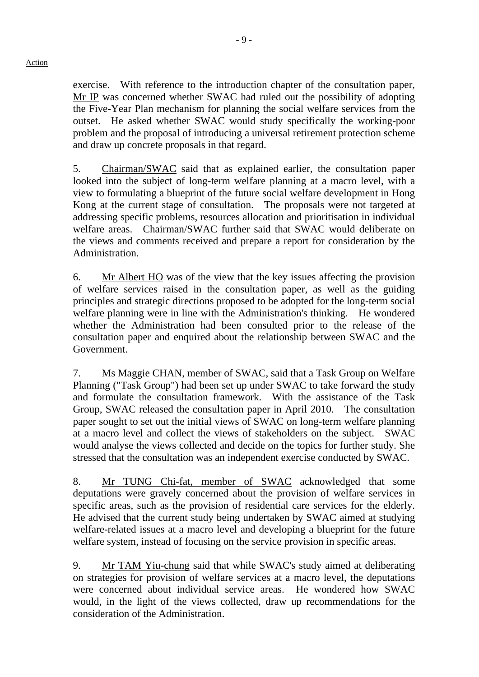#### Action

exercise. With reference to the introduction chapter of the consultation paper, Mr IP was concerned whether SWAC had ruled out the possibility of adopting the Five-Year Plan mechanism for planning the social welfare services from the outset. He asked whether SWAC would study specifically the working-poor problem and the proposal of introducing a universal retirement protection scheme and draw up concrete proposals in that regard.

5. Chairman/SWAC said that as explained earlier, the consultation paper looked into the subject of long-term welfare planning at a macro level, with a view to formulating a blueprint of the future social welfare development in Hong Kong at the current stage of consultation. The proposals were not targeted at addressing specific problems, resources allocation and prioritisation in individual welfare areas. Chairman/SWAC further said that SWAC would deliberate on the views and comments received and prepare a report for consideration by the Administration.

6. Mr Albert HO was of the view that the key issues affecting the provision of welfare services raised in the consultation paper, as well as the guiding principles and strategic directions proposed to be adopted for the long-term social welfare planning were in line with the Administration's thinking. He wondered whether the Administration had been consulted prior to the release of the consultation paper and enquired about the relationship between SWAC and the Government.

7. Ms Maggie CHAN, member of SWAC, said that a Task Group on Welfare Planning ("Task Group") had been set up under SWAC to take forward the study and formulate the consultation framework. With the assistance of the Task Group, SWAC released the consultation paper in April 2010. The consultation paper sought to set out the initial views of SWAC on long-term welfare planning at a macro level and collect the views of stakeholders on the subject. SWAC would analyse the views collected and decide on the topics for further study. She stressed that the consultation was an independent exercise conducted by SWAC.

8. Mr TUNG Chi-fat, member of SWAC acknowledged that some deputations were gravely concerned about the provision of welfare services in specific areas, such as the provision of residential care services for the elderly. He advised that the current study being undertaken by SWAC aimed at studying welfare-related issues at a macro level and developing a blueprint for the future welfare system, instead of focusing on the service provision in specific areas.

9. Mr TAM Yiu-chung said that while SWAC's study aimed at deliberating on strategies for provision of welfare services at a macro level, the deputations were concerned about individual service areas. He wondered how SWAC would, in the light of the views collected, draw up recommendations for the consideration of the Administration.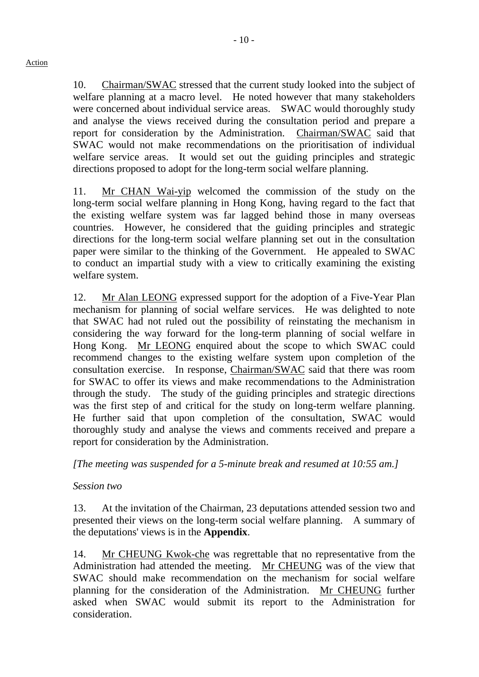10. Chairman/SWAC stressed that the current study looked into the subject of welfare planning at a macro level. He noted however that many stakeholders were concerned about individual service areas. SWAC would thoroughly study and analyse the views received during the consultation period and prepare a report for consideration by the Administration. Chairman/SWAC said that SWAC would not make recommendations on the prioritisation of individual welfare service areas. It would set out the guiding principles and strategic directions proposed to adopt for the long-term social welfare planning.

11. Mr CHAN Wai-yip welcomed the commission of the study on the long-term social welfare planning in Hong Kong, having regard to the fact that the existing welfare system was far lagged behind those in many overseas countries. However, he considered that the guiding principles and strategic directions for the long-term social welfare planning set out in the consultation paper were similar to the thinking of the Government. He appealed to SWAC to conduct an impartial study with a view to critically examining the existing welfare system.

12. Mr Alan LEONG expressed support for the adoption of a Five-Year Plan mechanism for planning of social welfare services. He was delighted to note that SWAC had not ruled out the possibility of reinstating the mechanism in considering the way forward for the long-term planning of social welfare in Hong Kong. Mr LEONG enquired about the scope to which SWAC could recommend changes to the existing welfare system upon completion of the consultation exercise. In response, Chairman/SWAC said that there was room for SWAC to offer its views and make recommendations to the Administration through the study. The study of the guiding principles and strategic directions was the first step of and critical for the study on long-term welfare planning. He further said that upon completion of the consultation, SWAC would thoroughly study and analyse the views and comments received and prepare a report for consideration by the Administration.

*[The meeting was suspended for a 5-minute break and resumed at 10:55 am.]* 

## *Session two*

13. At the invitation of the Chairman, 23 deputations attended session two and presented their views on the long-term social welfare planning. A summary of the deputations' views is in the **Appendix**.

14. Mr CHEUNG Kwok-che was regrettable that no representative from the Administration had attended the meeting. Mr CHEUNG was of the view that SWAC should make recommendation on the mechanism for social welfare planning for the consideration of the Administration. Mr CHEUNG further asked when SWAC would submit its report to the Administration for consideration.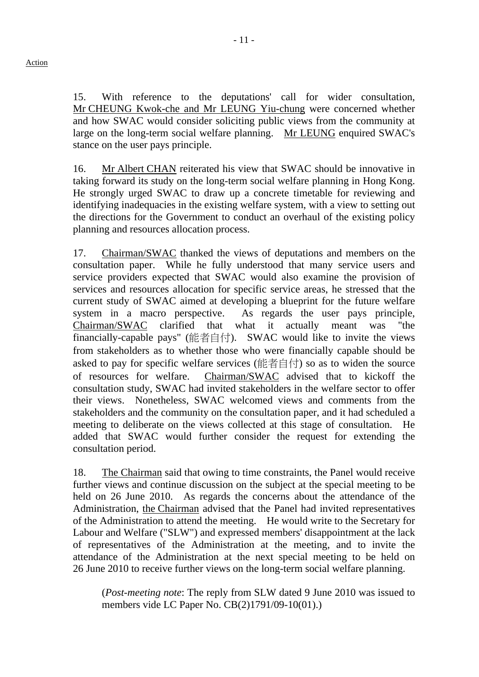15. With reference to the deputations' call for wider consultation, Mr CHEUNG Kwok-che and Mr LEUNG Yiu-chung were concerned whether and how SWAC would consider soliciting public views from the community at large on the long-term social welfare planning. Mr LEUNG enquired SWAC's stance on the user pays principle.

16. Mr Albert CHAN reiterated his view that SWAC should be innovative in taking forward its study on the long-term social welfare planning in Hong Kong. He strongly urged SWAC to draw up a concrete timetable for reviewing and identifying inadequacies in the existing welfare system, with a view to setting out the directions for the Government to conduct an overhaul of the existing policy planning and resources allocation process.

17. Chairman/SWAC thanked the views of deputations and members on the consultation paper. While he fully understood that many service users and service providers expected that SWAC would also examine the provision of services and resources allocation for specific service areas, he stressed that the current study of SWAC aimed at developing a blueprint for the future welfare system in a macro perspective. As regards the user pays principle, Chairman/SWAC clarified that what it actually meant was "the financially-capable pays" (能者自付). SWAC would like to invite the views from stakeholders as to whether those who were financially capable should be asked to pay for specific welfare services (能者自付) so as to widen the source of resources for welfare. Chairman/SWAC advised that to kickoff the consultation study, SWAC had invited stakeholders in the welfare sector to offer their views. Nonetheless, SWAC welcomed views and comments from the stakeholders and the community on the consultation paper, and it had scheduled a meeting to deliberate on the views collected at this stage of consultation. He added that SWAC would further consider the request for extending the consultation period.

18. The Chairman said that owing to time constraints, the Panel would receive further views and continue discussion on the subject at the special meeting to be held on 26 June 2010. As regards the concerns about the attendance of the Administration, the Chairman advised that the Panel had invited representatives of the Administration to attend the meeting. He would write to the Secretary for Labour and Welfare ("SLW") and expressed members' disappointment at the lack of representatives of the Administration at the meeting, and to invite the attendance of the Administration at the next special meeting to be held on 26 June 2010 to receive further views on the long-term social welfare planning.

(*Post-meeting note*: The reply from SLW dated 9 June 2010 was issued to members vide LC Paper No. CB(2)1791/09-10(01).)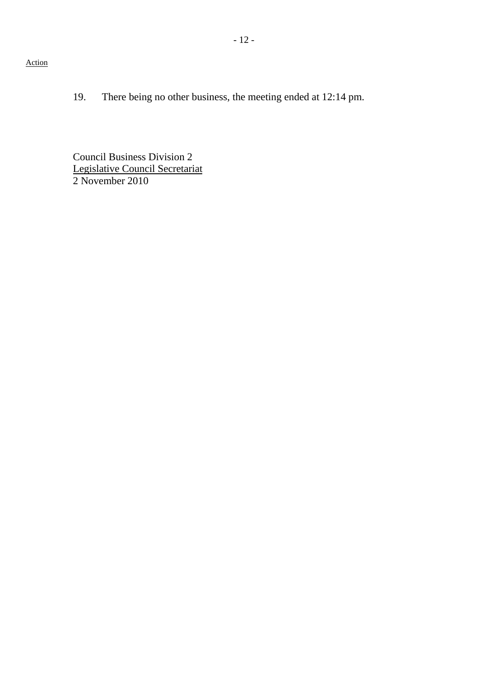- 12 -

Action

19. There being no other business, the meeting ended at 12:14 pm.

Council Business Division 2 Legislative Council Secretariat 2 November 2010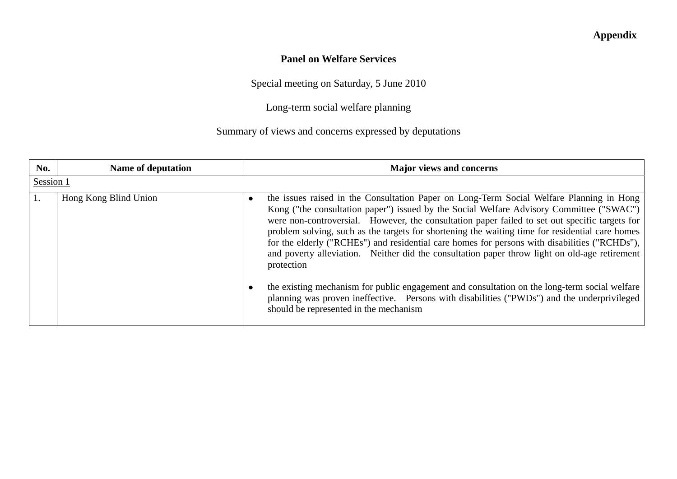## **Appendix**

## **Panel on Welfare Services**

Special meeting on Saturday, 5 June 2010

Long-term social welfare planning

Summary of views and concerns expressed by deputations

| No.       | <b>Name of deputation</b> | <b>Major views and concerns</b>                                                                                                                                                                                                                                                                                                                                                                                                                                                                                                                                                                                                                                                                                                                                                                                                                         |
|-----------|---------------------------|---------------------------------------------------------------------------------------------------------------------------------------------------------------------------------------------------------------------------------------------------------------------------------------------------------------------------------------------------------------------------------------------------------------------------------------------------------------------------------------------------------------------------------------------------------------------------------------------------------------------------------------------------------------------------------------------------------------------------------------------------------------------------------------------------------------------------------------------------------|
| Session 1 |                           |                                                                                                                                                                                                                                                                                                                                                                                                                                                                                                                                                                                                                                                                                                                                                                                                                                                         |
|           | Hong Kong Blind Union     | the issues raised in the Consultation Paper on Long-Term Social Welfare Planning in Hong<br>Kong ("the consultation paper") issued by the Social Welfare Advisory Committee ("SWAC")  <br>were non-controversial. However, the consultation paper failed to set out specific targets for<br>problem solving, such as the targets for shortening the waiting time for residential care homes<br>for the elderly ("RCHEs") and residential care homes for persons with disabilities ("RCHDs"),  <br>and poverty alleviation. Neither did the consultation paper throw light on old-age retirement<br>protection<br>the existing mechanism for public engagement and consultation on the long-term social welfare<br>planning was proven ineffective. Persons with disabilities ("PWDs") and the underprivileged<br>should be represented in the mechanism |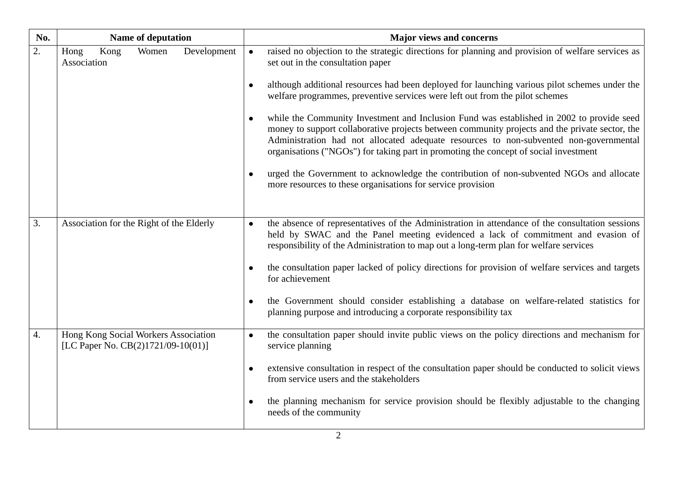| No. | <b>Name of deputation</b>                                                  | <b>Major views and concerns</b>                                                                                                                                                                                                                                                                                                                                                                                                                                                                                                                                                                                                                                                                                                                                                                                                                                                |
|-----|----------------------------------------------------------------------------|--------------------------------------------------------------------------------------------------------------------------------------------------------------------------------------------------------------------------------------------------------------------------------------------------------------------------------------------------------------------------------------------------------------------------------------------------------------------------------------------------------------------------------------------------------------------------------------------------------------------------------------------------------------------------------------------------------------------------------------------------------------------------------------------------------------------------------------------------------------------------------|
| 2.  | Kong<br>Women<br>Development<br>Hong<br>Association                        | raised no objection to the strategic directions for planning and provision of welfare services as<br>$\bullet$<br>set out in the consultation paper<br>although additional resources had been deployed for launching various pilot schemes under the<br>welfare programmes, preventive services were left out from the pilot schemes<br>while the Community Investment and Inclusion Fund was established in 2002 to provide seed<br>money to support collaborative projects between community projects and the private sector, the<br>Administration had not allocated adequate resources to non-subvented non-governmental<br>organisations ("NGOs") for taking part in promoting the concept of social investment<br>urged the Government to acknowledge the contribution of non-subvented NGOs and allocate<br>more resources to these organisations for service provision |
| 3.  | Association for the Right of the Elderly                                   | the absence of representatives of the Administration in attendance of the consultation sessions<br>$\bullet$<br>held by SWAC and the Panel meeting evidenced a lack of commitment and evasion of<br>responsibility of the Administration to map out a long-term plan for welfare services<br>the consultation paper lacked of policy directions for provision of welfare services and targets<br>for achievement<br>the Government should consider establishing a database on welfare-related statistics for<br>planning purpose and introducing a corporate responsibility tax                                                                                                                                                                                                                                                                                                |
| 4.  | Hong Kong Social Workers Association<br>[LC Paper No. CB(2)1721/09-10(01)] | the consultation paper should invite public views on the policy directions and mechanism for<br>$\bullet$<br>service planning<br>extensive consultation in respect of the consultation paper should be conducted to solicit views<br>from service users and the stakeholders<br>the planning mechanism for service provision should be flexibly adjustable to the changing<br>needs of the community                                                                                                                                                                                                                                                                                                                                                                                                                                                                           |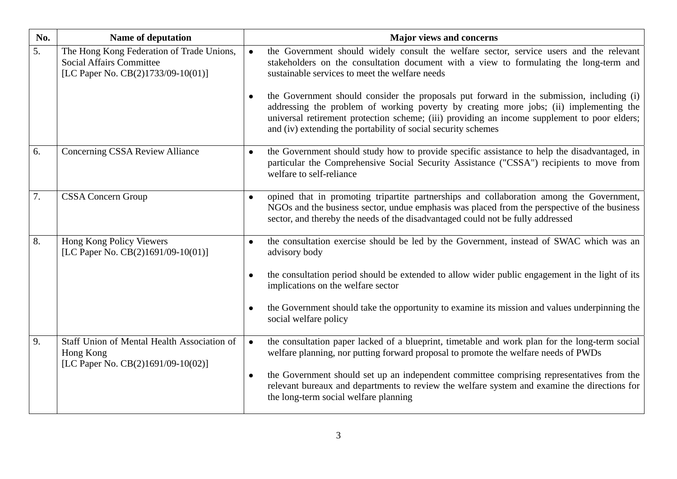| No. | <b>Name of deputation</b>                                                                                          | <b>Major views and concerns</b>                                                                                                                                                                                                                                                                                                                                                                                                                                                                                                                                                                          |
|-----|--------------------------------------------------------------------------------------------------------------------|----------------------------------------------------------------------------------------------------------------------------------------------------------------------------------------------------------------------------------------------------------------------------------------------------------------------------------------------------------------------------------------------------------------------------------------------------------------------------------------------------------------------------------------------------------------------------------------------------------|
| 5.  | The Hong Kong Federation of Trade Unions,<br><b>Social Affairs Committee</b><br>[LC Paper No. CB(2)1733/09-10(01)] | the Government should widely consult the welfare sector, service users and the relevant<br>$\bullet$<br>stakeholders on the consultation document with a view to formulating the long-term and<br>sustainable services to meet the welfare needs<br>the Government should consider the proposals put forward in the submission, including (i)<br>addressing the problem of working poverty by creating more jobs; (ii) implementing the<br>universal retirement protection scheme; (iii) providing an income supplement to poor elders;<br>and (iv) extending the portability of social security schemes |
| 6.  | Concerning CSSA Review Alliance                                                                                    | the Government should study how to provide specific assistance to help the disadvantaged, in<br>particular the Comprehensive Social Security Assistance ("CSSA") recipients to move from<br>welfare to self-reliance                                                                                                                                                                                                                                                                                                                                                                                     |
| 7.  | <b>CSSA Concern Group</b>                                                                                          | opined that in promoting tripartite partnerships and collaboration among the Government,<br>$\bullet$<br>NGOs and the business sector, undue emphasis was placed from the perspective of the business<br>sector, and thereby the needs of the disadvantaged could not be fully addressed                                                                                                                                                                                                                                                                                                                 |
| 8.  | Hong Kong Policy Viewers<br>[LC Paper No. CB(2)1691/09-10(01)]                                                     | the consultation exercise should be led by the Government, instead of SWAC which was an<br>$\bullet$<br>advisory body<br>the consultation period should be extended to allow wider public engagement in the light of its<br>implications on the welfare sector<br>the Government should take the opportunity to examine its mission and values underpinning the<br>social welfare policy                                                                                                                                                                                                                 |
| 9.  | Staff Union of Mental Health Association of<br>Hong Kong<br>[LC Paper No. CB(2)1691/09-10(02)]                     | the consultation paper lacked of a blueprint, timetable and work plan for the long-term social<br>welfare planning, nor putting forward proposal to promote the welfare needs of PWDs<br>the Government should set up an independent committee comprising representatives from the<br>relevant bureaux and departments to review the welfare system and examine the directions for<br>the long-term social welfare planning                                                                                                                                                                              |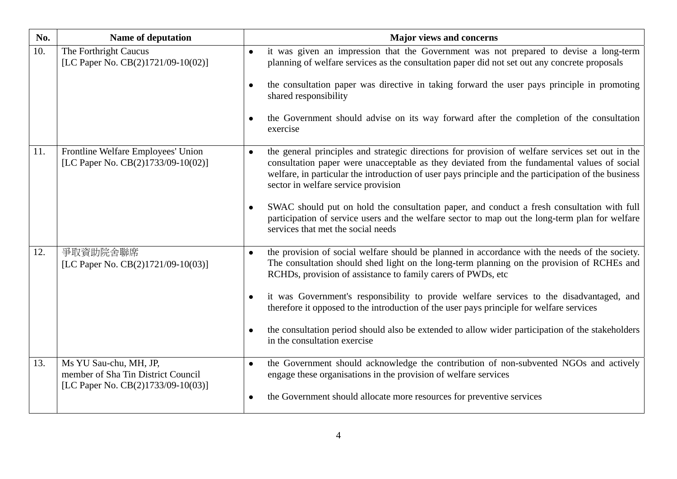| No. | Name of deputation                                                                                 | <b>Major views and concerns</b>                                                                                                                                                                                                                                                                                                                                                                                                                                                                                                                                                                    |
|-----|----------------------------------------------------------------------------------------------------|----------------------------------------------------------------------------------------------------------------------------------------------------------------------------------------------------------------------------------------------------------------------------------------------------------------------------------------------------------------------------------------------------------------------------------------------------------------------------------------------------------------------------------------------------------------------------------------------------|
| 10. | The Forthright Caucus<br>[LC Paper No. CB(2)1721/09-10(02)]                                        | it was given an impression that the Government was not prepared to devise a long-term<br>$\bullet$<br>planning of welfare services as the consultation paper did not set out any concrete proposals<br>the consultation paper was directive in taking forward the user pays principle in promoting<br>$\bullet$<br>shared responsibility<br>the Government should advise on its way forward after the completion of the consultation<br>exercise                                                                                                                                                   |
| 11. | Frontline Welfare Employees' Union<br>[LC Paper No. CB(2)1733/09-10(02)]                           | the general principles and strategic directions for provision of welfare services set out in the<br>$\bullet$<br>consultation paper were unacceptable as they deviated from the fundamental values of social<br>welfare, in particular the introduction of user pays principle and the participation of the business<br>sector in welfare service provision<br>SWAC should put on hold the consultation paper, and conduct a fresh consultation with full<br>participation of service users and the welfare sector to map out the long-term plan for welfare<br>services that met the social needs |
| 12. | 爭取資助院舍聯席<br>[LC Paper No. CB(2)1721/09-10(03)]                                                     | the provision of social welfare should be planned in accordance with the needs of the society.<br>The consultation should shed light on the long-term planning on the provision of RCHEs and<br>RCHDs, provision of assistance to family carers of PWDs, etc<br>it was Government's responsibility to provide welfare services to the disadvantaged, and<br>therefore it opposed to the introduction of the user pays principle for welfare services<br>the consultation period should also be extended to allow wider participation of the stakeholders<br>in the consultation exercise           |
| 13. | Ms YU Sau-chu, MH, JP,<br>member of Sha Tin District Council<br>[LC Paper No. CB(2)1733/09-10(03)] | the Government should acknowledge the contribution of non-subvented NGOs and actively<br>$\bullet$<br>engage these organisations in the provision of welfare services<br>the Government should allocate more resources for preventive services<br>$\bullet$                                                                                                                                                                                                                                                                                                                                        |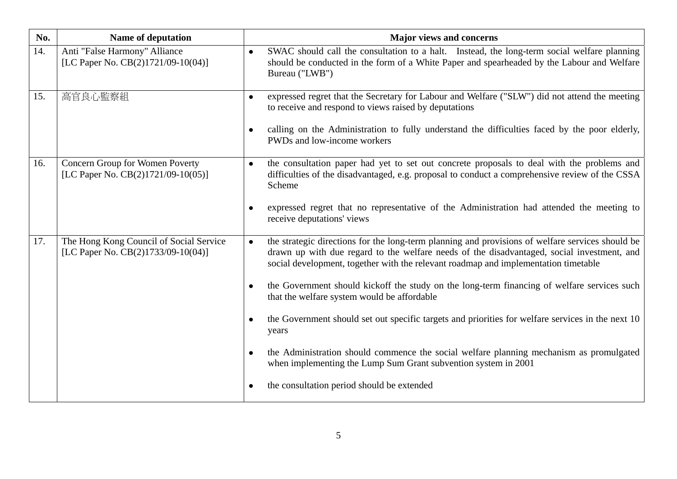| No. | <b>Name of deputation</b>                                                     | <b>Major views and concerns</b>                                                                                                                                                                                                                                                                                                                                                                                                                                                                                                                                                                                                                                                                                                                              |
|-----|-------------------------------------------------------------------------------|--------------------------------------------------------------------------------------------------------------------------------------------------------------------------------------------------------------------------------------------------------------------------------------------------------------------------------------------------------------------------------------------------------------------------------------------------------------------------------------------------------------------------------------------------------------------------------------------------------------------------------------------------------------------------------------------------------------------------------------------------------------|
| 14. | Anti "False Harmony" Alliance<br>[LC Paper No. CB(2)1721/09-10(04)]           | SWAC should call the consultation to a halt. Instead, the long-term social welfare planning<br>$\bullet$<br>should be conducted in the form of a White Paper and spearheaded by the Labour and Welfare<br>Bureau ("LWB")                                                                                                                                                                                                                                                                                                                                                                                                                                                                                                                                     |
| 15. | 高官良心監察組                                                                       | expressed regret that the Secretary for Labour and Welfare ("SLW") did not attend the meeting<br>$\bullet$<br>to receive and respond to views raised by deputations<br>calling on the Administration to fully understand the difficulties faced by the poor elderly,<br>PWDs and low-income workers                                                                                                                                                                                                                                                                                                                                                                                                                                                          |
| 16. | Concern Group for Women Poverty<br>[LC Paper No. CB(2)1721/09-10(05)]         | the consultation paper had yet to set out concrete proposals to deal with the problems and<br>$\bullet$<br>difficulties of the disadvantaged, e.g. proposal to conduct a comprehensive review of the CSSA<br>Scheme<br>expressed regret that no representative of the Administration had attended the meeting to<br>receive deputations' views                                                                                                                                                                                                                                                                                                                                                                                                               |
| 17. | The Hong Kong Council of Social Service<br>[LC Paper No. CB(2)1733/09-10(04)] | the strategic directions for the long-term planning and provisions of welfare services should be<br>drawn up with due regard to the welfare needs of the disadvantaged, social investment, and<br>social development, together with the relevant roadmap and implementation timetable<br>the Government should kickoff the study on the long-term financing of welfare services such<br>that the welfare system would be affordable<br>the Government should set out specific targets and priorities for welfare services in the next 10<br>years<br>the Administration should commence the social welfare planning mechanism as promulgated<br>when implementing the Lump Sum Grant subvention system in 2001<br>the consultation period should be extended |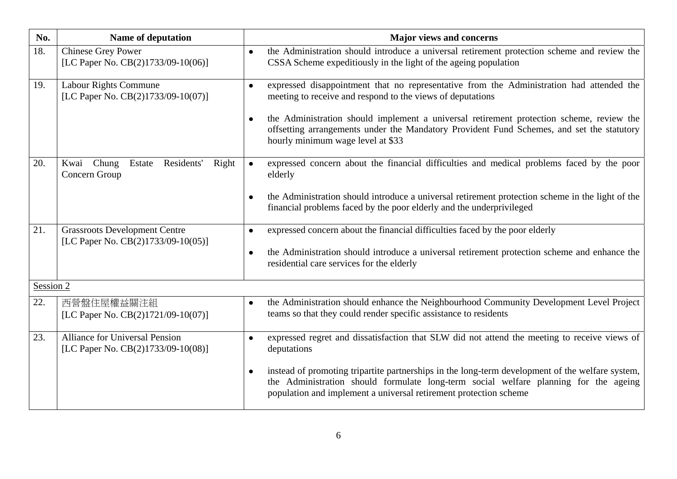| No.       | <b>Name of deputation</b>                                                   | <b>Major views and concerns</b>                                                                                                                                                                                                                                                                                                                                                                   |
|-----------|-----------------------------------------------------------------------------|---------------------------------------------------------------------------------------------------------------------------------------------------------------------------------------------------------------------------------------------------------------------------------------------------------------------------------------------------------------------------------------------------|
| 18.       | Chinese Grey Power<br>[LC Paper No. CB(2)1733/09-10(06)]                    | the Administration should introduce a universal retirement protection scheme and review the<br>$\bullet$<br>CSSA Scheme expeditiously in the light of the ageing population                                                                                                                                                                                                                       |
| 19.       | <b>Labour Rights Commune</b><br>[LC Paper No. CB(2)1733/09-10(07)]          | expressed disappointment that no representative from the Administration had attended the<br>$\bullet$<br>meeting to receive and respond to the views of deputations<br>the Administration should implement a universal retirement protection scheme, review the<br>offsetting arrangements under the Mandatory Provident Fund Schemes, and set the statutory<br>hourly minimum wage level at \$33 |
| 20.       | Residents'<br>Kwai<br>Chung<br>Estate<br>Right<br>Concern Group             | expressed concern about the financial difficulties and medical problems faced by the poor<br>elderly<br>the Administration should introduce a universal retirement protection scheme in the light of the<br>financial problems faced by the poor elderly and the underprivileged                                                                                                                  |
| 21.       | <b>Grassroots Development Centre</b><br>[LC Paper No. CB(2)1733/09-10(05)]  | expressed concern about the financial difficulties faced by the poor elderly<br>$\bullet$<br>the Administration should introduce a universal retirement protection scheme and enhance the<br>residential care services for the elderly                                                                                                                                                            |
| Session 2 |                                                                             |                                                                                                                                                                                                                                                                                                                                                                                                   |
| 22.       | 西營盤住屋權益關注組<br>[LC Paper No. CB(2)1721/09-10(07)]                            | the Administration should enhance the Neighbourhood Community Development Level Project<br>$\bullet$<br>teams so that they could render specific assistance to residents                                                                                                                                                                                                                          |
| 23.       | <b>Alliance for Universal Pension</b><br>[LC Paper No. CB(2)1733/09-10(08)] | expressed regret and dissatisfaction that SLW did not attend the meeting to receive views of<br>$\bullet$<br>deputations<br>instead of promoting tripartite partnerships in the long-term development of the welfare system,<br>the Administration should formulate long-term social welfare planning for the ageing<br>population and implement a universal retirement protection scheme         |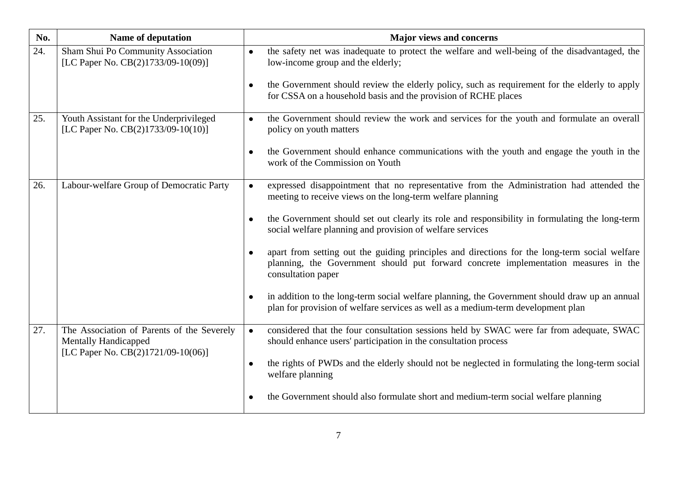| No. | Name of deputation                                                            | <b>Major views and concerns</b>                                                                                                                                                                                                                                                                                    |
|-----|-------------------------------------------------------------------------------|--------------------------------------------------------------------------------------------------------------------------------------------------------------------------------------------------------------------------------------------------------------------------------------------------------------------|
| 24. | Sham Shui Po Community Association<br>[LC Paper No. CB(2)1733/09-10(09)]      | the safety net was inadequate to protect the welfare and well-being of the disadvantaged, the<br>$\bullet$<br>low-income group and the elderly;<br>the Government should review the elderly policy, such as requirement for the elderly to apply<br>for CSSA on a household basis and the provision of RCHE places |
|     |                                                                               |                                                                                                                                                                                                                                                                                                                    |
| 25. | Youth Assistant for the Underprivileged<br>[LC Paper No. CB(2)1733/09-10(10)] | the Government should review the work and services for the youth and formulate an overall<br>$\bullet$<br>policy on youth matters                                                                                                                                                                                  |
|     |                                                                               | the Government should enhance communications with the youth and engage the youth in the<br>work of the Commission on Youth                                                                                                                                                                                         |
| 26. | Labour-welfare Group of Democratic Party                                      | expressed disappointment that no representative from the Administration had attended the<br>$\bullet$<br>meeting to receive views on the long-term welfare planning                                                                                                                                                |
|     |                                                                               | the Government should set out clearly its role and responsibility in formulating the long-term<br>social welfare planning and provision of welfare services                                                                                                                                                        |
|     |                                                                               | apart from setting out the guiding principles and directions for the long-term social welfare<br>planning, the Government should put forward concrete implementation measures in the<br>consultation paper                                                                                                         |
|     |                                                                               | in addition to the long-term social welfare planning, the Government should draw up an annual<br>plan for provision of welfare services as well as a medium-term development plan                                                                                                                                  |
| 27. | The Association of Parents of the Severely<br><b>Mentally Handicapped</b>     | considered that the four consultation sessions held by SWAC were far from adequate, SWAC<br>$\bullet$<br>should enhance users' participation in the consultation process                                                                                                                                           |
|     | [LC Paper No. CB(2)1721/09-10(06)]                                            | the rights of PWDs and the elderly should not be neglected in formulating the long-term social<br>welfare planning                                                                                                                                                                                                 |
|     |                                                                               | the Government should also formulate short and medium-term social welfare planning                                                                                                                                                                                                                                 |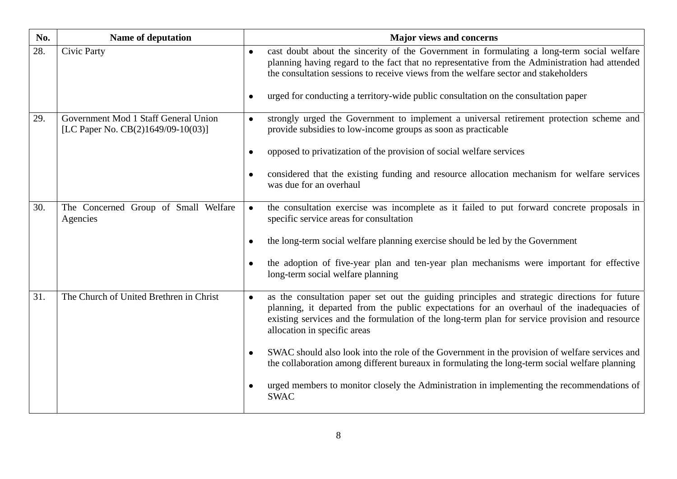| No. | Name of deputation                                                         | <b>Major views and concerns</b>                                                                                                                                                                                                                                                                                                                                                                      |
|-----|----------------------------------------------------------------------------|------------------------------------------------------------------------------------------------------------------------------------------------------------------------------------------------------------------------------------------------------------------------------------------------------------------------------------------------------------------------------------------------------|
| 28. | Civic Party                                                                | cast doubt about the sincerity of the Government in formulating a long-term social welfare<br>$\bullet$<br>planning having regard to the fact that no representative from the Administration had attended<br>the consultation sessions to receive views from the welfare sector and stakeholders<br>urged for conducting a territory-wide public consultation on the consultation paper<br>$\bullet$ |
|     |                                                                            |                                                                                                                                                                                                                                                                                                                                                                                                      |
| 29. | Government Mod 1 Staff General Union<br>[LC Paper No. CB(2)1649/09-10(03)] | strongly urged the Government to implement a universal retirement protection scheme and<br>$\bullet$<br>provide subsidies to low-income groups as soon as practicable                                                                                                                                                                                                                                |
|     |                                                                            | opposed to privatization of the provision of social welfare services                                                                                                                                                                                                                                                                                                                                 |
|     |                                                                            | considered that the existing funding and resource allocation mechanism for welfare services<br>was due for an overhaul                                                                                                                                                                                                                                                                               |
| 30. | The Concerned Group of Small Welfare<br>Agencies                           | the consultation exercise was incomplete as it failed to put forward concrete proposals in<br>specific service areas for consultation                                                                                                                                                                                                                                                                |
|     |                                                                            | the long-term social welfare planning exercise should be led by the Government                                                                                                                                                                                                                                                                                                                       |
|     |                                                                            | the adoption of five-year plan and ten-year plan mechanisms were important for effective<br>long-term social welfare planning                                                                                                                                                                                                                                                                        |
| 31. | The Church of United Brethren in Christ                                    | as the consultation paper set out the guiding principles and strategic directions for future<br>planning, it departed from the public expectations for an overhaul of the inadequacies of<br>existing services and the formulation of the long-term plan for service provision and resource<br>allocation in specific areas                                                                          |
|     |                                                                            | SWAC should also look into the role of the Government in the provision of welfare services and<br>the collaboration among different bureaux in formulating the long-term social welfare planning                                                                                                                                                                                                     |
|     |                                                                            | urged members to monitor closely the Administration in implementing the recommendations of<br><b>SWAC</b>                                                                                                                                                                                                                                                                                            |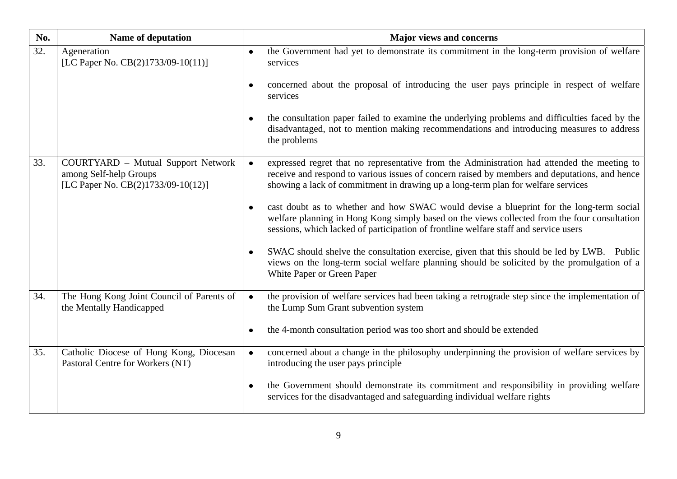| No. | <b>Name of deputation</b>                                                                                 | <b>Major views and concerns</b>                                                                                                                                                                                                                                                                                                                                                                                                                                                                                                                                                                                                                                                                                                                                                                |
|-----|-----------------------------------------------------------------------------------------------------------|------------------------------------------------------------------------------------------------------------------------------------------------------------------------------------------------------------------------------------------------------------------------------------------------------------------------------------------------------------------------------------------------------------------------------------------------------------------------------------------------------------------------------------------------------------------------------------------------------------------------------------------------------------------------------------------------------------------------------------------------------------------------------------------------|
| 32. | Ageneration<br>[LC Paper No. CB(2)1733/09-10(11)]                                                         | the Government had yet to demonstrate its commitment in the long-term provision of welfare<br>$\bullet$<br>services<br>concerned about the proposal of introducing the user pays principle in respect of welfare<br>services<br>the consultation paper failed to examine the underlying problems and difficulties faced by the<br>disadvantaged, not to mention making recommendations and introducing measures to address<br>the problems                                                                                                                                                                                                                                                                                                                                                     |
| 33. | <b>COURTYARD</b> - Mutual Support Network<br>among Self-help Groups<br>[LC Paper No. CB(2)1733/09-10(12)] | expressed regret that no representative from the Administration had attended the meeting to<br>receive and respond to various issues of concern raised by members and deputations, and hence<br>showing a lack of commitment in drawing up a long-term plan for welfare services<br>cast doubt as to whether and how SWAC would devise a blueprint for the long-term social<br>welfare planning in Hong Kong simply based on the views collected from the four consultation<br>sessions, which lacked of participation of frontline welfare staff and service users<br>SWAC should shelve the consultation exercise, given that this should be led by LWB. Public<br>views on the long-term social welfare planning should be solicited by the promulgation of a<br>White Paper or Green Paper |
| 34. | The Hong Kong Joint Council of Parents of<br>the Mentally Handicapped                                     | the provision of welfare services had been taking a retrograde step since the implementation of<br>the Lump Sum Grant subvention system<br>the 4-month consultation period was too short and should be extended<br>$\bullet$                                                                                                                                                                                                                                                                                                                                                                                                                                                                                                                                                                   |
| 35. | Catholic Diocese of Hong Kong, Diocesan<br>Pastoral Centre for Workers (NT)                               | concerned about a change in the philosophy underpinning the provision of welfare services by<br>introducing the user pays principle<br>the Government should demonstrate its commitment and responsibility in providing welfare<br>$\bullet$<br>services for the disadvantaged and safeguarding individual welfare rights                                                                                                                                                                                                                                                                                                                                                                                                                                                                      |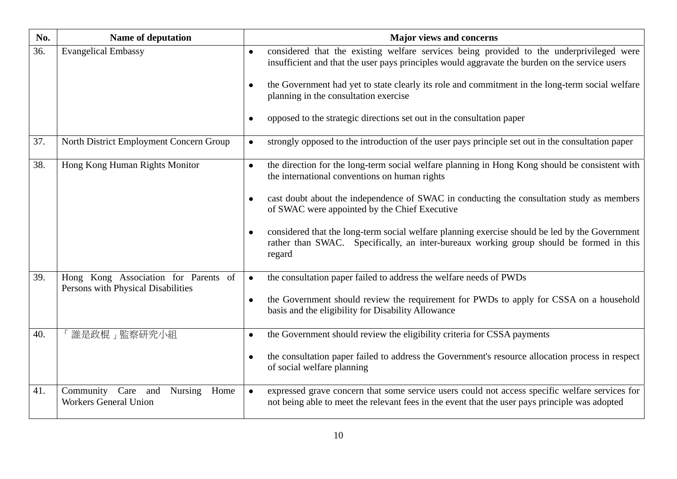| No. | Name of deputation                                                         | <b>Major views and concerns</b>                                                                                                                                                                                                                                                                                                                                                                                                                                                                                                |
|-----|----------------------------------------------------------------------------|--------------------------------------------------------------------------------------------------------------------------------------------------------------------------------------------------------------------------------------------------------------------------------------------------------------------------------------------------------------------------------------------------------------------------------------------------------------------------------------------------------------------------------|
| 36. | <b>Evangelical Embassy</b>                                                 | considered that the existing welfare services being provided to the underprivileged were<br>$\bullet$<br>insufficient and that the user pays principles would aggravate the burden on the service users<br>the Government had yet to state clearly its role and commitment in the long-term social welfare<br>planning in the consultation exercise<br>opposed to the strategic directions set out in the consultation paper                                                                                                   |
|     |                                                                            |                                                                                                                                                                                                                                                                                                                                                                                                                                                                                                                                |
| 37. | North District Employment Concern Group                                    | strongly opposed to the introduction of the user pays principle set out in the consultation paper<br>$\bullet$                                                                                                                                                                                                                                                                                                                                                                                                                 |
| 38. | Hong Kong Human Rights Monitor                                             | the direction for the long-term social welfare planning in Hong Kong should be consistent with<br>$\bullet$<br>the international conventions on human rights<br>cast doubt about the independence of SWAC in conducting the consultation study as members<br>$\bullet$<br>of SWAC were appointed by the Chief Executive<br>considered that the long-term social welfare planning exercise should be led by the Government<br>rather than SWAC. Specifically, an inter-bureaux working group should be formed in this<br>regard |
| 39. | Hong Kong Association for Parents of<br>Persons with Physical Disabilities | the consultation paper failed to address the welfare needs of PWDs<br>$\bullet$<br>the Government should review the requirement for PWDs to apply for CSSA on a household<br>$\bullet$<br>basis and the eligibility for Disability Allowance                                                                                                                                                                                                                                                                                   |
| 40. | 誰是政棍」監察研究小組                                                                | the Government should review the eligibility criteria for CSSA payments<br>$\bullet$<br>the consultation paper failed to address the Government's resource allocation process in respect<br>of social welfare planning                                                                                                                                                                                                                                                                                                         |
| 41. | Community Care and<br>Nursing<br>Home<br><b>Workers General Union</b>      | expressed grave concern that some service users could not access specific welfare services for<br>$\bullet$<br>not being able to meet the relevant fees in the event that the user pays principle was adopted                                                                                                                                                                                                                                                                                                                  |